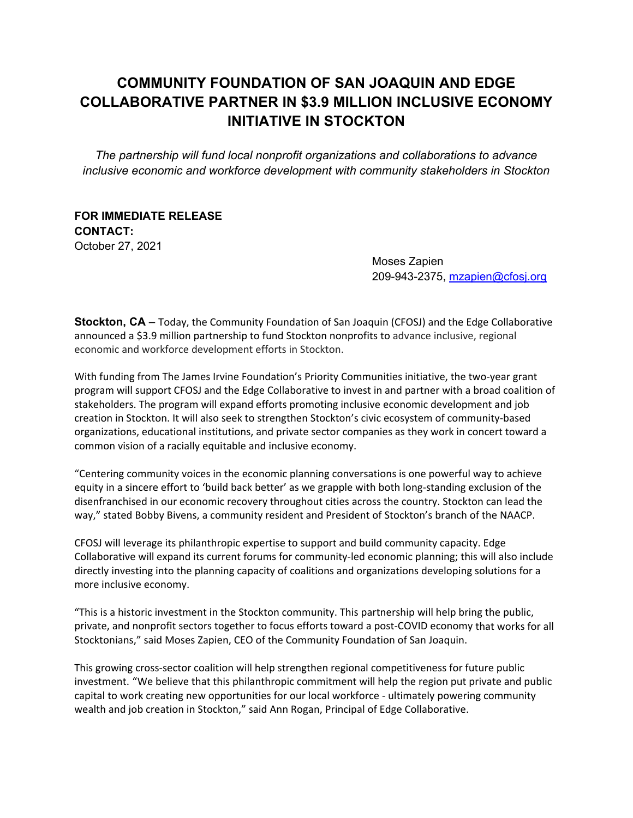# **COMMUNITY FOUNDATION OF SAN JOAQUIN AND EDGE COLLABORATIVE PARTNER IN \$3.9 MILLION INCLUSIVE ECONOMY INITIATIVE IN STOCKTON**

*The partnership will fund local nonprofit organizations and collaborations to advance inclusive economic and workforce development with community stakeholders in Stockton* 

## **FOR IMMEDIATE RELEASE CONTACT:**  October 27, 2021

 Moses Zapien 209-943-2375, mzapien@cfosj.org

**Stockton, CA** – Today, the Community Foundation of San Joaquin (CFOSJ) and the Edge Collaborative announced a \$3.9 million partnership to fund Stockton nonprofits to advance inclusive, regional economic and workforce development efforts in Stockton.

With funding from The James Irvine Foundation's Priority Communities initiative, the two-year grant program will support CFOSJ and the Edge Collaborative to invest in and partner with a broad coalition of stakeholders. The program will expand efforts promoting inclusive economic development and job creation in Stockton. It will also seek to strengthen Stockton's civic ecosystem of community‐based organizations, educational institutions, and private sector companies as they work in concert toward a common vision of a racially equitable and inclusive economy.

"Centering community voices in the economic planning conversations is one powerful way to achieve equity in a sincere effort to 'build back better' as we grapple with both long‐standing exclusion of the disenfranchised in our economic recovery throughout cities across the country. Stockton can lead the way," stated Bobby Bivens, a community resident and President of Stockton's branch of the NAACP.

CFOSJ will leverage its philanthropic expertise to support and build community capacity. Edge Collaborative will expand its current forums for community‐led economic planning; this will also include directly investing into the planning capacity of coalitions and organizations developing solutions for a more inclusive economy.

"This is a historic investment in the Stockton community. This partnership will help bring the public, private, and nonprofit sectors together to focus efforts toward a post-COVID economy that works for all Stocktonians," said Moses Zapien, CEO of the Community Foundation of San Joaquin.

This growing cross‐sector coalition will help strengthen regional competitiveness for future public investment. "We believe that this philanthropic commitment will help the region put private and public capital to work creating new opportunities for our local workforce ‐ ultimately powering community wealth and job creation in Stockton," said Ann Rogan, Principal of Edge Collaborative.